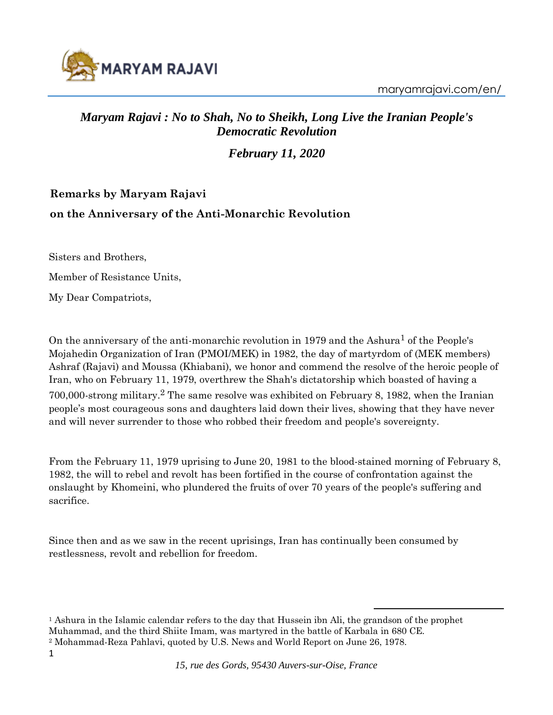

maryamrajavi.com/en/

#### *Maryam Rajavi : No to Shah, No to Sheikh, Long Live the Iranian People's Democratic Revolution*

*February 11, 2020*

### **Remarks by Maryam Rajavi on the Anniversary of the Anti-Monarchic Revolution**

Sisters and Brothers,

Member of Resistance Units,

My Dear Compatriots,

On the anniversary of the anti-monarchic revolution in 1979 and the Ashura<sup>1</sup> of the People's Mojahedin Organization of Iran (PMOI/MEK) in 1982, the day of martyrdom of (MEK members) Ashraf (Rajavi) and Moussa (Khiabani), we honor and commend the resolve of the heroic people of Iran, who on February 11, 1979, overthrew the Shah's dictatorship which boasted of having a 700,000-strong military.<sup>2</sup> The same resolve was exhibited on February 8, 1982, when the Iranian people's most courageous sons and daughters laid down their lives, showing that they have never and will never surrender to those who robbed their freedom and people's sovereignty.

From the February 11, 1979 uprising to June 20, 1981 to the blood-stained morning of February 8, 1982, the will to rebel and revolt has been fortified in the course of confrontation against the onslaught by Khomeini, who plundered the fruits of over 70 years of the people's suffering and sacrifice.

Since then and as we saw in the recent uprisings, Iran has continually been consumed by restlessness, revolt and rebellion for freedom.

<sup>1</sup> Ashura in the Islamic calendar refers to the day that Hussein ibn Ali, the grandson of the prophet Muhammad, and the third Shiite Imam, was martyred in the battle of Karbala in 680 CE. <sup>2</sup> Mohammad-Reza Pahlavi, quoted by U.S. News and World Report on June 26, 1978.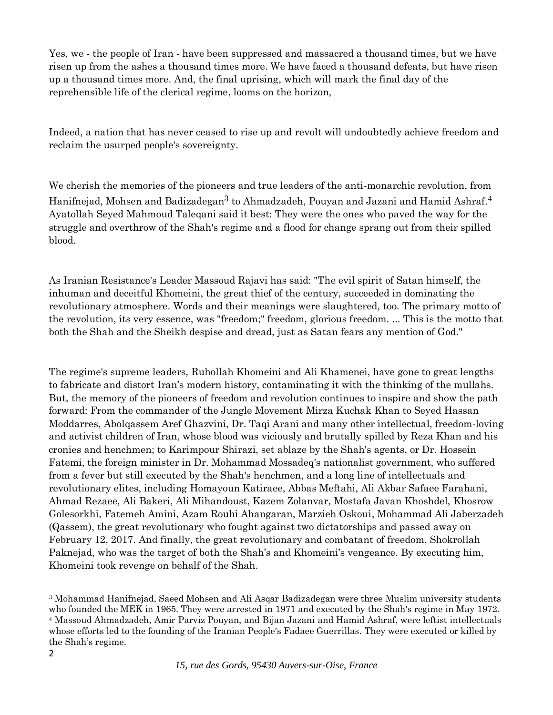Yes, we - the people of Iran - have been suppressed and massacred a thousand times, but we have risen up from the ashes a thousand times more. We have faced a thousand defeats, but have risen up a thousand times more. And, the final uprising, which will mark the final day of the reprehensible life of the clerical regime, looms on the horizon,

Indeed, a nation that has never ceased to rise up and revolt will undoubtedly achieve freedom and reclaim the usurped people's sovereignty.

We cherish the memories of the pioneers and true leaders of the anti-monarchic revolution, from Hanifnejad, Mohsen and Badizadegan<sup>3</sup> to Ahmadzadeh, Pouyan and Jazani and Hamid Ashraf.<sup>4</sup> Ayatollah Seyed Mahmoud Taleqani said it best: They were the ones who paved the way for the struggle and overthrow of the Shah's regime and a flood for change sprang out from their spilled blood.

As Iranian Resistance's Leader Massoud Rajavi has said: "The evil spirit of Satan himself, the inhuman and deceitful Khomeini, the great thief of the century, succeeded in dominating the revolutionary atmosphere. Words and their meanings were slaughtered, too. The primary motto of the revolution, its very essence, was "freedom;" freedom, glorious freedom. ... This is the motto that both the Shah and the Sheikh despise and dread, just as Satan fears any mention of God."

The regime's supreme leaders, Ruhollah Khomeini and Ali Khamenei, have gone to great lengths to fabricate and distort Iran's modern history, contaminating it with the thinking of the mullahs. But, the memory of the pioneers of freedom and revolution continues to inspire and show the path forward: From the commander of the Jungle Movement Mirza Kuchak Khan to Seyed Hassan Moddarres, Abolqassem Aref Ghazvini, Dr. Taqi Arani and many other intellectual, freedom-loving and activist children of Iran, whose blood was viciously and brutally spilled by Reza Khan and his cronies and henchmen; to Karimpour Shirazi, set ablaze by the Shah's agents, or Dr. Hossein Fatemi, the foreign minister in Dr. Mohammad Mossadeq's nationalist government, who suffered from a fever but still executed by the Shah's henchmen, and a long line of intellectuals and revolutionary elites, including Homayoun Katiraee, Abbas Meftahi, Ali Akbar Safaee Farahani, Ahmad Rezaee, Ali Bakeri, Ali Mihandoust, Kazem Zolanvar, Mostafa Javan Khoshdel, Khosrow Golesorkhi, Fatemeh Amini, Azam Rouhi Ahangaran, Marzieh Oskoui, Mohammad Ali Jaberzadeh (Qassem), the great revolutionary who fought against two dictatorships and passed away on February 12, 2017. And finally, the great revolutionary and combatant of freedom, Shokrollah Paknejad, who was the target of both the Shah's and Khomeini's vengeance. By executing him, Khomeini took revenge on behalf of the Shah.

<sup>3</sup> Mohammad Hanifnejad, Saeed Mohsen and Ali Asqar Badizadegan were three Muslim university students who founded the MEK in 1965. They were arrested in 1971 and executed by the Shah's regime in May 1972. <sup>4</sup> Massoud Ahmadzadeh, Amir Parviz Pouyan, and Bijan Jazani and Hamid Ashraf, were leftist intellectuals whose efforts led to the founding of the Iranian People's Fadaee Guerrillas. They were executed or killed by the Shah's regime.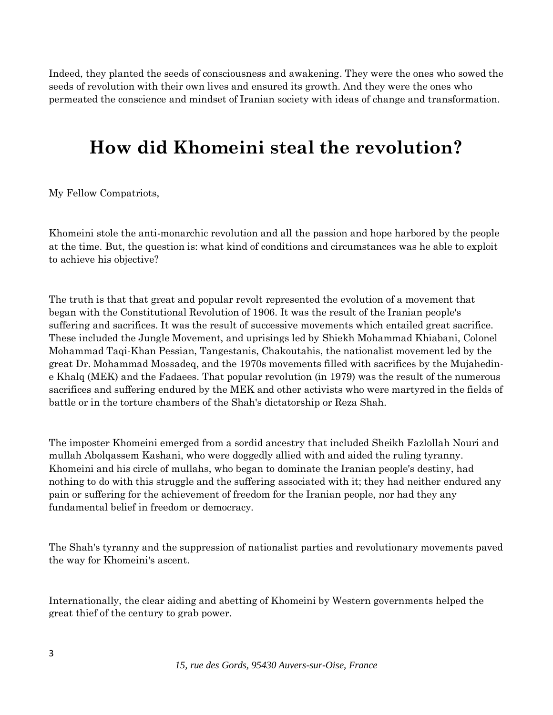Indeed, they planted the seeds of consciousness and awakening. They were the ones who sowed the seeds of revolution with their own lives and ensured its growth. And they were the ones who permeated the conscience and mindset of Iranian society with ideas of change and transformation.

# **How did Khomeini steal the revolution?**

My Fellow Compatriots,

Khomeini stole the anti-monarchic revolution and all the passion and hope harbored by the people at the time. But, the question is: what kind of conditions and circumstances was he able to exploit to achieve his objective?

The truth is that that great and popular revolt represented the evolution of a movement that began with the Constitutional Revolution of 1906. It was the result of the Iranian people's suffering and sacrifices. It was the result of successive movements which entailed great sacrifice. These included the Jungle Movement, and uprisings led by Shiekh Mohammad Khiabani, Colonel Mohammad Taqi-Khan Pessian, Tangestanis, Chakoutahis, the nationalist movement led by the great Dr. Mohammad Mossadeq, and the 1970s movements filled with sacrifices by the Mujahedine Khalq (MEK) and the Fadaees. That popular revolution (in 1979) was the result of the numerous sacrifices and suffering endured by the MEK and other activists who were martyred in the fields of battle or in the torture chambers of the Shah's dictatorship or Reza Shah.

The imposter Khomeini emerged from a sordid ancestry that included Sheikh Fazlollah Nouri and mullah Abolqassem Kashani, who were doggedly allied with and aided the ruling tyranny. Khomeini and his circle of mullahs, who began to dominate the Iranian people's destiny, had nothing to do with this struggle and the suffering associated with it; they had neither endured any pain or suffering for the achievement of freedom for the Iranian people, nor had they any fundamental belief in freedom or democracy.

The Shah's tyranny and the suppression of nationalist parties and revolutionary movements paved the way for Khomeini's ascent.

Internationally, the clear aiding and abetting of Khomeini by Western governments helped the great thief of the century to grab power.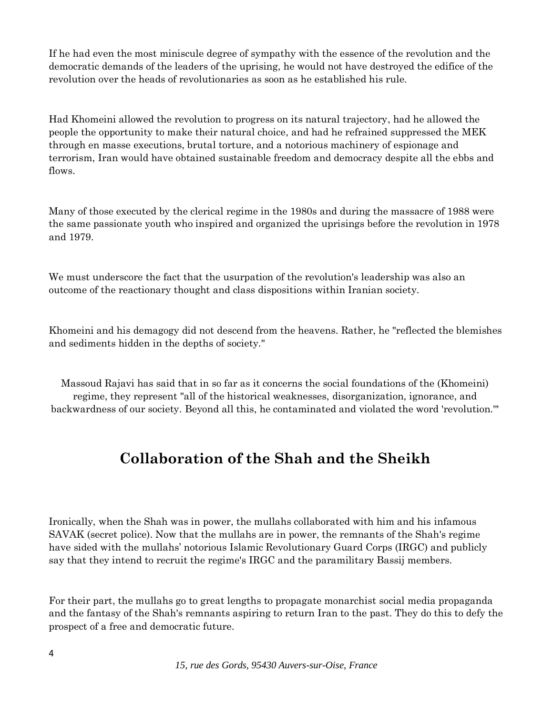If he had even the most miniscule degree of sympathy with the essence of the revolution and the democratic demands of the leaders of the uprising, he would not have destroyed the edifice of the revolution over the heads of revolutionaries as soon as he established his rule.

Had Khomeini allowed the revolution to progress on its natural trajectory, had he allowed the people the opportunity to make their natural choice, and had he refrained suppressed the MEK through en masse executions, brutal torture, and a notorious machinery of espionage and terrorism, Iran would have obtained sustainable freedom and democracy despite all the ebbs and flows.

Many of those executed by the clerical regime in the 1980s and during the massacre of 1988 were the same passionate youth who inspired and organized the uprisings before the revolution in 1978 and 1979.

We must underscore the fact that the usurpation of the revolution's leadership was also an outcome of the reactionary thought and class dispositions within Iranian society.

Khomeini and his demagogy did not descend from the heavens. Rather, he "reflected the blemishes and sediments hidden in the depths of society."

Massoud Rajavi has said that in so far as it concerns the social foundations of the (Khomeini) regime, they represent "all of the historical weaknesses, disorganization, ignorance, and backwardness of our society. Beyond all this, he contaminated and violated the word 'revolution.'"

### **Collaboration of the Shah and the Sheikh**

Ironically, when the Shah was in power, the mullahs collaborated with him and his infamous SAVAK (secret police). Now that the mullahs are in power, the remnants of the Shah's regime have sided with the mullahs' notorious Islamic Revolutionary Guard Corps (IRGC) and publicly say that they intend to recruit the regime's IRGC and the paramilitary Bassij members.

For their part, the mullahs go to great lengths to propagate monarchist social media propaganda and the fantasy of the Shah's remnants aspiring to return Iran to the past. They do this to defy the prospect of a free and democratic future.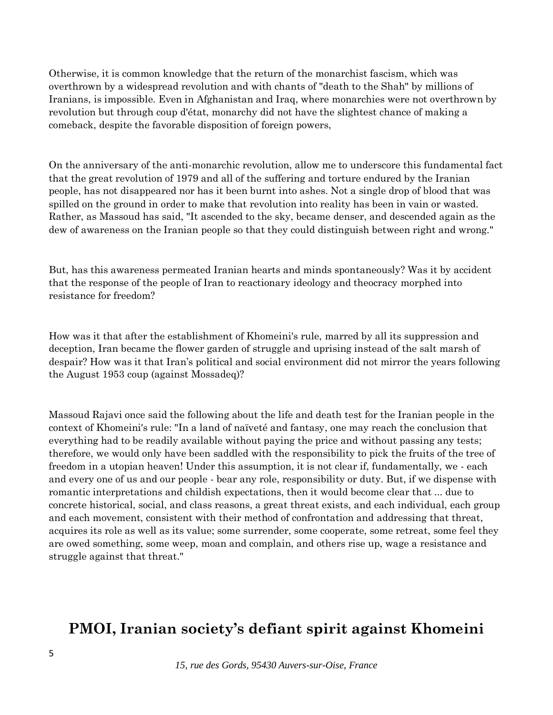Otherwise, it is common knowledge that the return of the monarchist fascism, which was overthrown by a widespread revolution and with chants of "death to the Shah" by millions of Iranians, is impossible. Even in Afghanistan and Iraq, where monarchies were not overthrown by revolution but through coup d'état, monarchy did not have the slightest chance of making a comeback, despite the favorable disposition of foreign powers,

On the anniversary of the anti-monarchic revolution, allow me to underscore this fundamental fact that the great revolution of 1979 and all of the suffering and torture endured by the Iranian people, has not disappeared nor has it been burnt into ashes. Not a single drop of blood that was spilled on the ground in order to make that revolution into reality has been in vain or wasted. Rather, as Massoud has said, "It ascended to the sky, became denser, and descended again as the dew of awareness on the Iranian people so that they could distinguish between right and wrong."

But, has this awareness permeated Iranian hearts and minds spontaneously? Was it by accident that the response of the people of Iran to reactionary ideology and theocracy morphed into resistance for freedom?

How was it that after the establishment of Khomeini's rule, marred by all its suppression and deception, Iran became the flower garden of struggle and uprising instead of the salt marsh of despair? How was it that Iran's political and social environment did not mirror the years following the August 1953 coup (against Mossadeq)?

Massoud Rajavi once said the following about the life and death test for the Iranian people in the context of Khomeini's rule: "In a land of naïveté and fantasy, one may reach the conclusion that everything had to be readily available without paying the price and without passing any tests; therefore, we would only have been saddled with the responsibility to pick the fruits of the tree of freedom in a utopian heaven! Under this assumption, it is not clear if, fundamentally, we - each and every one of us and our people - bear any role, responsibility or duty. But, if we dispense with romantic interpretations and childish expectations, then it would become clear that ... due to concrete historical, social, and class reasons, a great threat exists, and each individual, each group and each movement, consistent with their method of confrontation and addressing that threat, acquires its role as well as its value; some surrender, some cooperate, some retreat, some feel they are owed something, some weep, moan and complain, and others rise up, wage a resistance and struggle against that threat."

#### **PMOI, Iranian society's defiant spirit against Khomeini**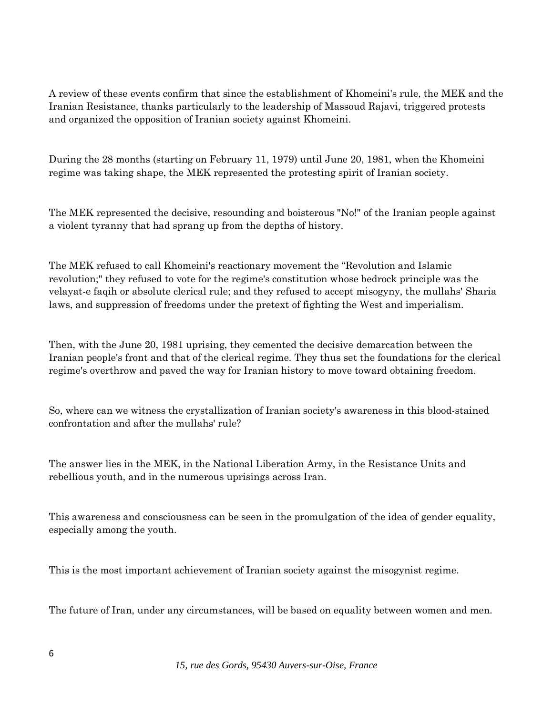A review of these events confirm that since the establishment of Khomeini's rule, the MEK and the Iranian Resistance, thanks particularly to the leadership of Massoud Rajavi, triggered protests and organized the opposition of Iranian society against Khomeini.

During the 28 months (starting on February 11, 1979) until June 20, 1981, when the Khomeini regime was taking shape, the MEK represented the protesting spirit of Iranian society.

The MEK represented the decisive, resounding and boisterous "No!" of the Iranian people against a violent tyranny that had sprang up from the depths of history.

The MEK refused to call Khomeini's reactionary movement the "Revolution and Islamic revolution;" they refused to vote for the regime's constitution whose bedrock principle was the velayat-e faqih or absolute clerical rule; and they refused to accept misogyny, the mullahs' Sharia laws, and suppression of freedoms under the pretext of fighting the West and imperialism.

Then, with the June 20, 1981 uprising, they cemented the decisive demarcation between the Iranian people's front and that of the clerical regime. They thus set the foundations for the clerical regime's overthrow and paved the way for Iranian history to move toward obtaining freedom.

So, where can we witness the crystallization of Iranian society's awareness in this blood-stained confrontation and after the mullahs' rule?

The answer lies in the MEK, in the National Liberation Army, in the Resistance Units and rebellious youth, and in the numerous uprisings across Iran.

This awareness and consciousness can be seen in the promulgation of the idea of gender equality, especially among the youth.

This is the most important achievement of Iranian society against the misogynist regime.

The future of Iran, under any circumstances, will be based on equality between women and men.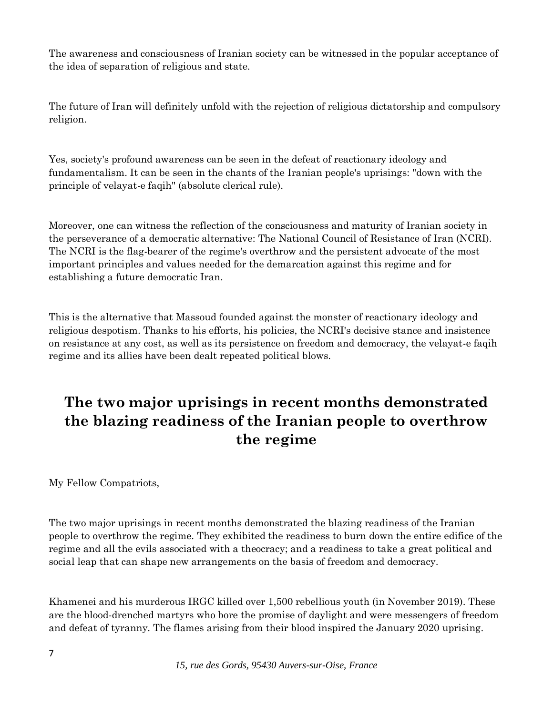The awareness and consciousness of Iranian society can be witnessed in the popular acceptance of the idea of separation of religious and state.

The future of Iran will definitely unfold with the rejection of religious dictatorship and compulsory religion.

Yes, society's profound awareness can be seen in the defeat of reactionary ideology and fundamentalism. It can be seen in the chants of the Iranian people's uprisings: "down with the principle of velayat-e faqih" (absolute clerical rule).

Moreover, one can witness the reflection of the consciousness and maturity of Iranian society in the perseverance of a democratic alternative: The National Council of Resistance of Iran (NCRI). The NCRI is the flag-bearer of the regime's overthrow and the persistent advocate of the most important principles and values needed for the demarcation against this regime and for establishing a future democratic Iran.

This is the alternative that Massoud founded against the monster of reactionary ideology and religious despotism. Thanks to his efforts, his policies, the NCRI's decisive stance and insistence on resistance at any cost, as well as its persistence on freedom and democracy, the velayat-e faqih regime and its allies have been dealt repeated political blows.

## **The two major uprisings in recent months demonstrated the blazing readiness of the Iranian people to overthrow the regime**

My Fellow Compatriots,

The two major uprisings in recent months demonstrated the blazing readiness of the Iranian people to overthrow the regime. They exhibited the readiness to burn down the entire edifice of the regime and all the evils associated with a theocracy; and a readiness to take a great political and social leap that can shape new arrangements on the basis of freedom and democracy.

Khamenei and his murderous IRGC killed over 1,500 rebellious youth (in November 2019). These are the blood-drenched martyrs who bore the promise of daylight and were messengers of freedom and defeat of tyranny. The flames arising from their blood inspired the January 2020 uprising.

*15, rue des Gords, 95430 Auvers-sur-Oise, France*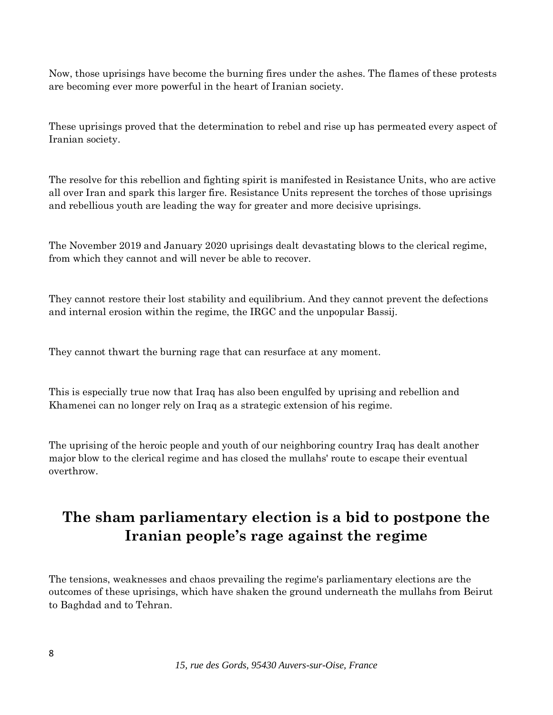Now, those uprisings have become the burning fires under the ashes. The flames of these protests are becoming ever more powerful in the heart of Iranian society.

These uprisings proved that the determination to rebel and rise up has permeated every aspect of Iranian society.

The resolve for this rebellion and fighting spirit is manifested in Resistance Units, who are active all over Iran and spark this larger fire. Resistance Units represent the torches of those uprisings and rebellious youth are leading the way for greater and more decisive uprisings.

The November 2019 and January 2020 uprisings dealt devastating blows to the clerical regime, from which they cannot and will never be able to recover.

They cannot restore their lost stability and equilibrium. And they cannot prevent the defections and internal erosion within the regime, the IRGC and the unpopular Bassij.

They cannot thwart the burning rage that can resurface at any moment.

This is especially true now that Iraq has also been engulfed by uprising and rebellion and Khamenei can no longer rely on Iraq as a strategic extension of his regime.

The uprising of the heroic people and youth of our neighboring country Iraq has dealt another major blow to the clerical regime and has closed the mullahs' route to escape their eventual overthrow.

### **The sham parliamentary election is a bid to postpone the Iranian people's rage against the regime**

The tensions, weaknesses and chaos prevailing the regime's parliamentary elections are the outcomes of these uprisings, which have shaken the ground underneath the mullahs from Beirut to Baghdad and to Tehran.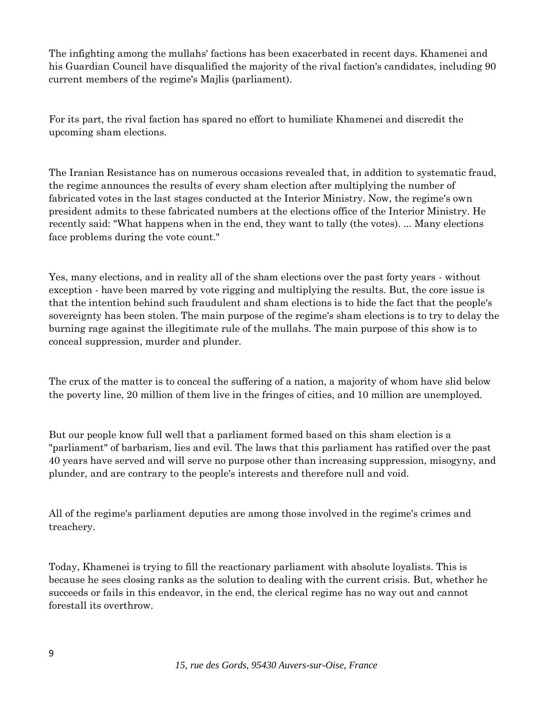The infighting among the mullahs' factions has been exacerbated in recent days. Khamenei and his Guardian Council have disqualified the majority of the rival faction's candidates, including 90 current members of the regime's Majlis (parliament).

For its part, the rival faction has spared no effort to humiliate Khamenei and discredit the upcoming sham elections.

The Iranian Resistance has on numerous occasions revealed that, in addition to systematic fraud, the regime announces the results of every sham election after multiplying the number of fabricated votes in the last stages conducted at the Interior Ministry. Now, the regime's own president admits to these fabricated numbers at the elections office of the Interior Ministry. He recently said: "What happens when in the end, they want to tally (the votes). ... Many elections face problems during the vote count."

Yes, many elections, and in reality all of the sham elections over the past forty years - without exception - have been marred by vote rigging and multiplying the results. But, the core issue is that the intention behind such fraudulent and sham elections is to hide the fact that the people's sovereignty has been stolen. The main purpose of the regime's sham elections is to try to delay the burning rage against the illegitimate rule of the mullahs. The main purpose of this show is to conceal suppression, murder and plunder.

The crux of the matter is to conceal the suffering of a nation, a majority of whom have slid below the poverty line, 20 million of them live in the fringes of cities, and 10 million are unemployed.

But our people know full well that a parliament formed based on this sham election is a "parliament" of barbarism, lies and evil. The laws that this parliament has ratified over the past 40 years have served and will serve no purpose other than increasing suppression, misogyny, and plunder, and are contrary to the people's interests and therefore null and void.

All of the regime's parliament deputies are among those involved in the regime's crimes and treachery.

Today, Khamenei is trying to fill the reactionary parliament with absolute loyalists. This is because he sees closing ranks as the solution to dealing with the current crisis. But, whether he succeeds or fails in this endeavor, in the end, the clerical regime has no way out and cannot forestall its overthrow.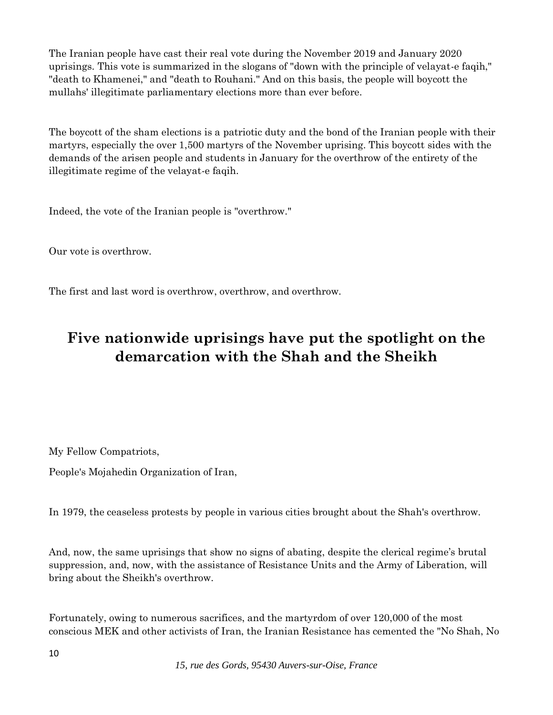The Iranian people have cast their real vote during the November 2019 and January 2020 uprisings. This vote is summarized in the slogans of "down with the principle of velayat-e faqih," "death to Khamenei," and "death to Rouhani." And on this basis, the people will boycott the mullahs' illegitimate parliamentary elections more than ever before.

The boycott of the sham elections is a patriotic duty and the bond of the Iranian people with their martyrs, especially the over 1,500 martyrs of the November uprising. This boycott sides with the demands of the arisen people and students in January for the overthrow of the entirety of the illegitimate regime of the velayat-e faqih.

Indeed, the vote of the Iranian people is "overthrow."

Our vote is overthrow.

The first and last word is overthrow, overthrow, and overthrow.

## **Five nationwide uprisings have put the spotlight on the demarcation with the Shah and the Sheikh**

My Fellow Compatriots,

People's Mojahedin Organization of Iran,

In 1979, the ceaseless protests by people in various cities brought about the Shah's overthrow.

And, now, the same uprisings that show no signs of abating, despite the clerical regime's brutal suppression, and, now, with the assistance of Resistance Units and the Army of Liberation, will bring about the Sheikh's overthrow.

Fortunately, owing to numerous sacrifices, and the martyrdom of over 120,000 of the most conscious MEK and other activists of Iran, the Iranian Resistance has cemented the "No Shah, No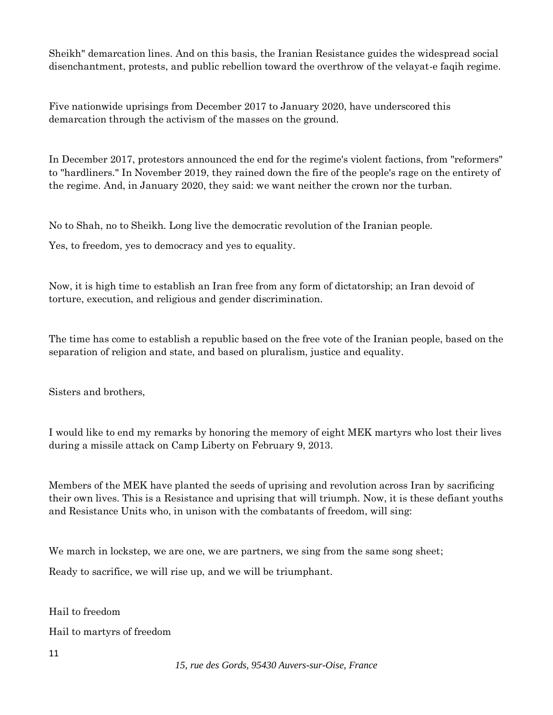Sheikh" demarcation lines. And on this basis, the Iranian Resistance guides the widespread social disenchantment, protests, and public rebellion toward the overthrow of the velayat-e faqih regime.

Five nationwide uprisings from December 2017 to January 2020, have underscored this demarcation through the activism of the masses on the ground.

In December 2017, protestors announced the end for the regime's violent factions, from "reformers" to "hardliners." In November 2019, they rained down the fire of the people's rage on the entirety of the regime. And, in January 2020, they said: we want neither the crown nor the turban.

No to Shah, no to Sheikh. Long live the democratic revolution of the Iranian people.

Yes, to freedom, yes to democracy and yes to equality.

Now, it is high time to establish an Iran free from any form of dictatorship; an Iran devoid of torture, execution, and religious and gender discrimination.

The time has come to establish a republic based on the free vote of the Iranian people, based on the separation of religion and state, and based on pluralism, justice and equality.

Sisters and brothers,

I would like to end my remarks by honoring the memory of eight MEK martyrs who lost their lives during a missile attack on Camp Liberty on February 9, 2013.

Members of the MEK have planted the seeds of uprising and revolution across Iran by sacrificing their own lives. This is a Resistance and uprising that will triumph. Now, it is these defiant youths and Resistance Units who, in unison with the combatants of freedom, will sing:

We march in lockstep, we are one, we are partners, we sing from the same song sheet;

Ready to sacrifice, we will rise up, and we will be triumphant.

Hail to freedom

Hail to martyrs of freedom

11